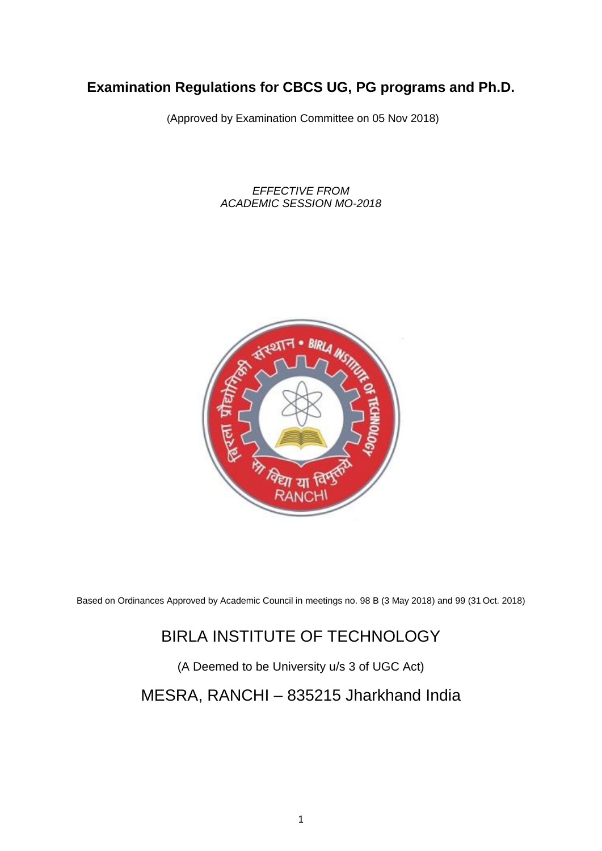# **Examination Regulations for CBCS UG, PG programs and Ph.D.**

(Approved by Examination Committee on 05 Nov 2018)

*EFFECTIVE FROM ACADEMIC SESSION MO-2018*



Based on Ordinances Approved by Academic Council in meetings no. 98 B (3 May 2018) and 99 (31 Oct. 2018)

# BIRLA INSTITUTE OF TECHNOLOGY

(A Deemed to be University u/s 3 of UGC Act)

# MESRA, RANCHI – 835215 Jharkhand India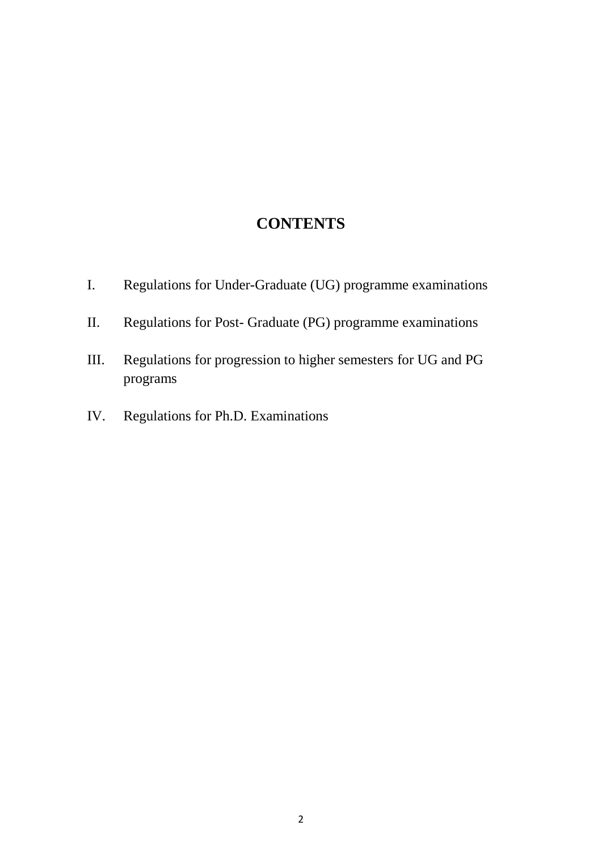# **CONTENTS**

- I. Regulations for Under-Graduate (UG) programme examinations
- II. Regulations for Post- Graduate (PG) programme examinations
- III. Regulations for progression to higher semesters for UG and PG programs
- IV. Regulations for Ph.D. Examinations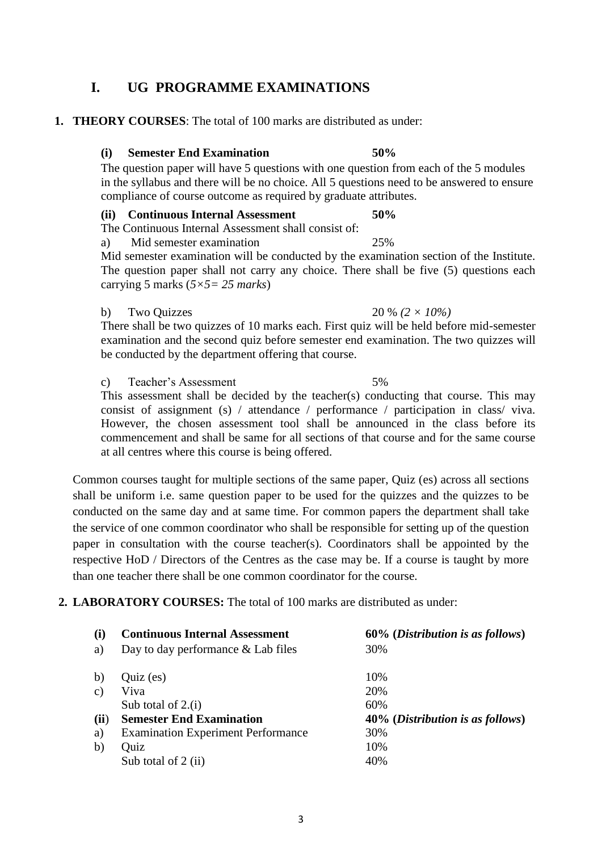## **I. UG PROGRAMME EXAMINATIONS**

## **1. THEORY COURSES**: The total of 100 marks are distributed as under:

### **(i) Semester End Examination 50%**

The question paper will have 5 questions with one question from each of the 5 modules in the syllabus and there will be no choice. All 5 questions need to be answered to ensure compliance of course outcome as required by graduate attributes.

### **(ii) Continuous Internal Assessment 50%**

The Continuous Internal Assessment shall consist of:

a) Mid semester examination 25%

Mid semester examination will be conducted by the examination section of the Institute. The question paper shall not carry any choice. There shall be five (5) questions each carrying 5 marks (*5×5= 25 marks*)

### b) Two Quizzes 20 % *(2 × 10%)*

There shall be two quizzes of 10 marks each. First quiz will be held before mid-semester examination and the second quiz before semester end examination. The two quizzes will be conducted by the department offering that course.

c) Teacher's Assessment 5%

This assessment shall be decided by the teacher(s) conducting that course. This may consist of assignment (s) / attendance / performance / participation in class/ viva. However, the chosen assessment tool shall be announced in the class before its commencement and shall be same for all sections of that course and for the same course at all centres where this course is being offered.

Common courses taught for multiple sections of the same paper, Quiz (es) across all sections shall be uniform i.e. same question paper to be used for the quizzes and the quizzes to be conducted on the same day and at same time. For common papers the department shall take the service of one common coordinator who shall be responsible for setting up of the question paper in consultation with the course teacher(s). Coordinators shall be appointed by the respective HoD / Directors of the Centres as the case may be. If a course is taught by more than one teacher there shall be one common coordinator for the course.

## **2. LABORATORY COURSES:** The total of 100 marks are distributed as under:

| (i)  | <b>Continuous Internal Assessment</b>     | 60% (Distribution is as follows) |
|------|-------------------------------------------|----------------------------------|
| a)   | Day to day performance $&$ Lab files      | 30%                              |
|      |                                           |                                  |
| b)   | $Quiz$ (es)                               | 10%                              |
| C)   | Viva                                      | 20%                              |
|      | Sub total of $2.(i)$                      | 60%                              |
| (ii) | <b>Semester End Examination</b>           | 40% (Distribution is as follows) |
| a)   | <b>Examination Experiment Performance</b> | 30%                              |
| b)   | Quiz                                      | 10%                              |
|      | Sub total of 2 (ii)                       | 40%                              |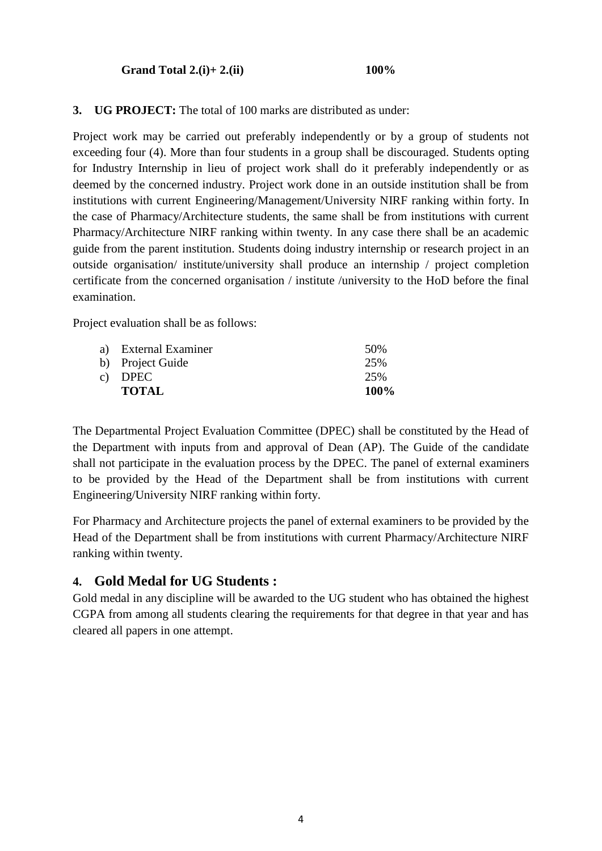**Grand Total 2.(i)+ 2.(ii) 100%**

**3. UG PROJECT:** The total of 100 marks are distributed as under:

Project work may be carried out preferably independently or by a group of students not exceeding four (4). More than four students in a group shall be discouraged. Students opting for Industry Internship in lieu of project work shall do it preferably independently or as deemed by the concerned industry. Project work done in an outside institution shall be from institutions with current Engineering/Management/University NIRF ranking within forty. In the case of Pharmacy/Architecture students, the same shall be from institutions with current Pharmacy/Architecture NIRF ranking within twenty. In any case there shall be an academic guide from the parent institution. Students doing industry internship or research project in an outside organisation/ institute/university shall produce an internship / project completion certificate from the concerned organisation / institute /university to the HoD before the final examination.

Project evaluation shall be as follows:

| a) External Examiner | 50%  |
|----------------------|------|
| b) Project Guide     | 25%  |
| c) DPEC              | 25%  |
| <b>TOTAL</b>         | 100% |

The Departmental Project Evaluation Committee (DPEC) shall be constituted by the Head of the Department with inputs from and approval of Dean (AP). The Guide of the candidate shall not participate in the evaluation process by the DPEC. The panel of external examiners to be provided by the Head of the Department shall be from institutions with current Engineering/University NIRF ranking within forty.

For Pharmacy and Architecture projects the panel of external examiners to be provided by the Head of the Department shall be from institutions with current Pharmacy/Architecture NIRF ranking within twenty.

## **4. Gold Medal for UG Students :**

Gold medal in any discipline will be awarded to the UG student who has obtained the highest CGPA from among all students clearing the requirements for that degree in that year and has cleared all papers in one attempt.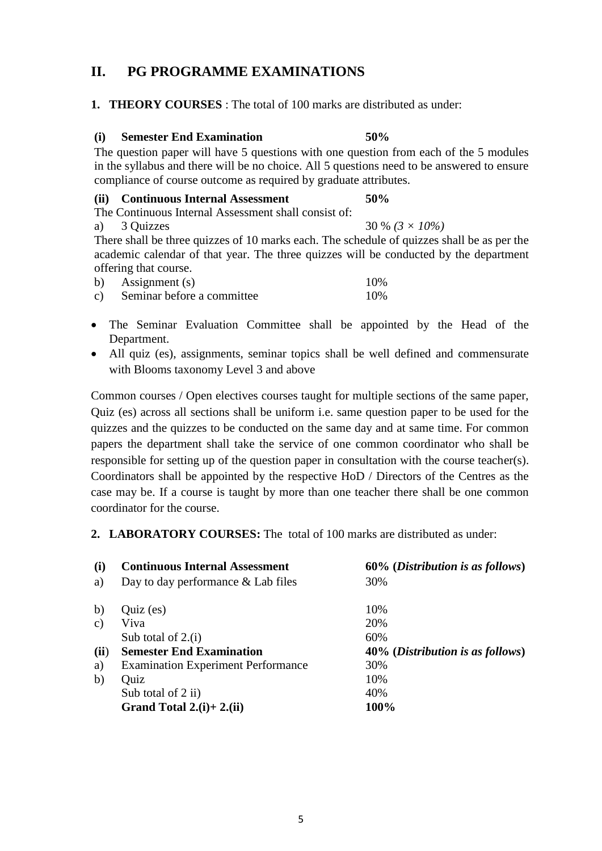## **II. PG PROGRAMME EXAMINATIONS**

## **1. THEORY COURSES** : The total of 100 marks are distributed as under:

### **(i) Semester End Examination 50%**

The question paper will have 5 questions with one question from each of the 5 modules in the syllabus and there will be no choice. All 5 questions need to be answered to ensure compliance of course outcome as required by graduate attributes.

## **(ii) Continuous Internal Assessment 50%**

The Continuous Internal Assessment shall consist of:

a) 3 Quizzes 30 % *(3 × 10%)* There shall be three quizzes of 10 marks each. The schedule of quizzes shall be as per the academic calendar of that year. The three quizzes will be conducted by the department offering that course.

| $\mathbf{b}$ | Assignment (s)             | 10% |
|--------------|----------------------------|-----|
| $\mathbf{c}$ | Seminar before a committee | 10% |

- The Seminar Evaluation Committee shall be appointed by the Head of the Department.
- All quiz (es), assignments, seminar topics shall be well defined and commensurate with Blooms taxonomy Level 3 and above

Common courses / Open electives courses taught for multiple sections of the same paper, Quiz (es) across all sections shall be uniform i.e. same question paper to be used for the quizzes and the quizzes to be conducted on the same day and at same time. For common papers the department shall take the service of one common coordinator who shall be responsible for setting up of the question paper in consultation with the course teacher(s). Coordinators shall be appointed by the respective HoD / Directors of the Centres as the case may be. If a course is taught by more than one teacher there shall be one common coordinator for the course.

## **2. LABORATORY COURSES:** The total of 100 marks are distributed as under:

| (i)           | <b>Continuous Internal Assessment</b>     | 60% (Distribution is as follows)          |
|---------------|-------------------------------------------|-------------------------------------------|
| a)            | Day to day performance $&$ Lab files      | 30%                                       |
| b)            | $Quiz$ (es)                               | 10%                                       |
| $\mathbf{c})$ | Viva                                      | 20%                                       |
|               | Sub total of $2.(i)$                      | 60%                                       |
| (ii)          | <b>Semester End Examination</b>           | 40% ( <i>Distribution is as follows</i> ) |
| a)            | <b>Examination Experiment Performance</b> | 30%                                       |
| b)            | Quiz                                      | 10%                                       |
|               | Sub total of 2 ii)                        | 40%                                       |
|               | Grand Total $2.(i) + 2.(ii)$              | 100%                                      |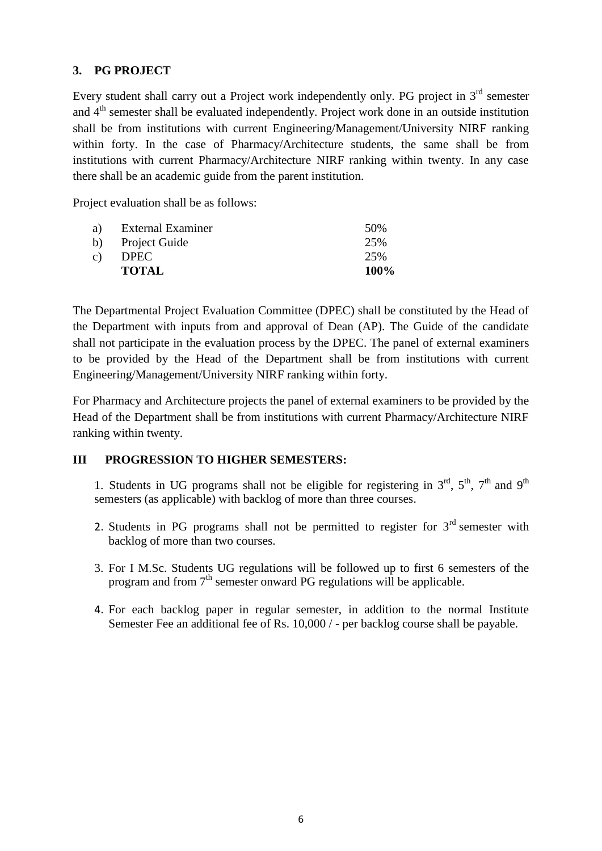## **3. PG PROJECT**

Every student shall carry out a Project work independently only. PG project in  $3<sup>rd</sup>$  semester and 4<sup>th</sup> semester shall be evaluated independently. Project work done in an outside institution shall be from institutions with current Engineering/Management/University NIRF ranking within forty. In the case of Pharmacy/Architecture students, the same shall be from institutions with current Pharmacy/Architecture NIRF ranking within twenty. In any case there shall be an academic guide from the parent institution.

Project evaluation shall be as follows:

| a) | External Examiner | 50%     |
|----|-------------------|---------|
|    | b) Project Guide  | 25%     |
| c) | <b>DPEC</b>       | 25%     |
|    | <b>TOTAL</b>      | $100\%$ |

The Departmental Project Evaluation Committee (DPEC) shall be constituted by the Head of the Department with inputs from and approval of Dean (AP). The Guide of the candidate shall not participate in the evaluation process by the DPEC. The panel of external examiners to be provided by the Head of the Department shall be from institutions with current Engineering/Management/University NIRF ranking within forty.

For Pharmacy and Architecture projects the panel of external examiners to be provided by the Head of the Department shall be from institutions with current Pharmacy/Architecture NIRF ranking within twenty.

## **III PROGRESSION TO HIGHER SEMESTERS:**

1. Students in UG programs shall not be eligible for registering in  $3<sup>rd</sup>$ ,  $5<sup>th</sup>$ ,  $7<sup>th</sup>$  and  $9<sup>th</sup>$ semesters (as applicable) with backlog of more than three courses.

- 2. Students in PG programs shall not be permitted to register for  $3<sup>rd</sup>$  semester with backlog of more than two courses.
- 3. For I M.Sc. Students UG regulations will be followed up to first 6 semesters of the program and from  $7<sup>th</sup>$  semester onward PG regulations will be applicable.
- 4. For each backlog paper in regular semester, in addition to the normal Institute Semester Fee an additional fee of Rs. 10,000 / - per backlog course shall be payable.